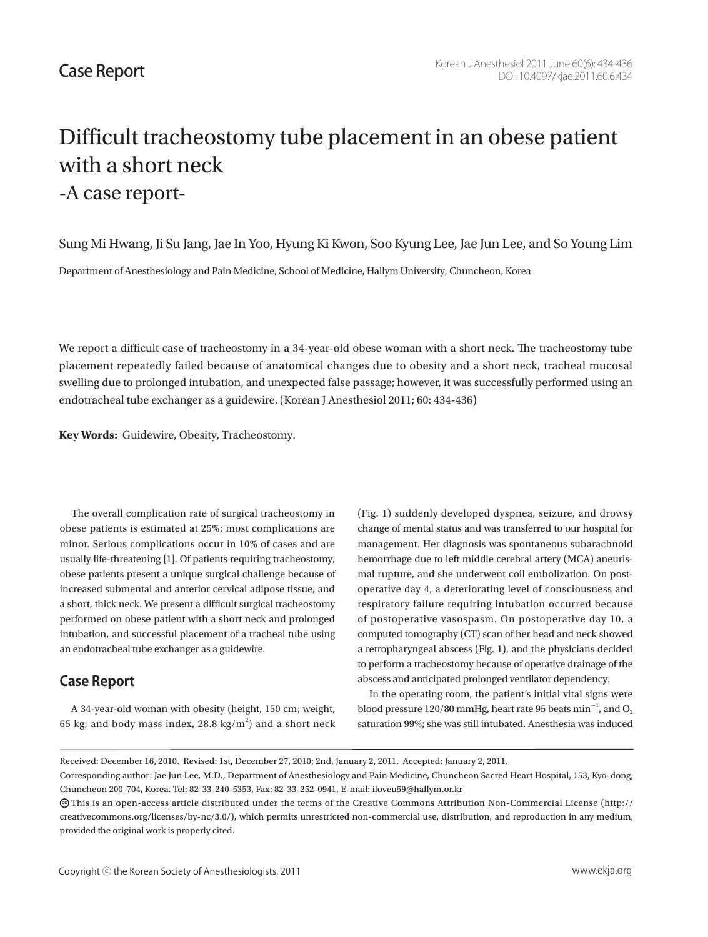## Difficult tracheostomy tube placement in an obese patient with a short neck -A case report-

Sung Mi Hwang, Ji Su Jang, Jae In Yoo, Hyung Ki Kwon, Soo Kyung Lee, Jae Jun Lee, and So Young Lim

Department of Anesthesiology and Pain Medicine, School of Medicine, Hallym University, Chuncheon, Korea

We report a difficult case of tracheostomy in a 34-year-old obese woman with a short neck. The tracheostomy tube placement repeatedly failed because of anatomical changes due to obesity and a short neck, tracheal mucosal swelling due to prolonged intubation, and unexpected false passage; however, it was successfully performed using an endotracheal tube exchanger as a guidewire. (Korean J Anesthesiol 2011; 60: 434-436)

**Key Words:** Guidewire, Obesity, Tracheostomy.

 The overall complication rate of surgical tracheostomy in obese patients is estimated at 25%; most complications are minor. Serious complications occur in 10% of cases and are usually life-threatening [1]. Of patients requiring tracheostomy, obese patients present a unique surgical challenge because of increased submental and anterior cervical adipose tissue, and a short, thick neck. We present a difficult surgical tracheostomy performed on obese patient with a short neck and prolonged intubation, and successful placement of a tracheal tube using an endotracheal tube exchanger as a guidewire.

## **Case Report**

 A 34-year-old woman with obesity (height, 150 cm; weight, 65 kg; and body mass index, 28.8 kg/m<sup>2</sup>) and a short neck (Fig. 1) suddenly developed dyspnea, seizure, and drowsy change of mental status and was transferred to our hospital for management. Her diagnosis was spontaneous subarachnoid hemorrhage due to left middle cerebral artery (MCA) aneurismal rupture, and she underwent coil embolization. On postoperative day 4, a deteriorating level of consciousness and respiratory failure requiring intubation occurred because of postoperative vasospasm. On postoperative day 10, a computed tomography (CT) scan of her head and neck showed a retropharyngeal abscess (Fig. 1), and the physicians decided to perform a tracheostomy because of operative drainage of the abscess and anticipated prolonged ventilator dependency.

 In the operating room, the patient's initial vital signs were blood pressure 120/80 mmHg, heart rate 95 beats  $\rm{min}^{-1}$  , and  $\rm{O}_2$ saturation 99%; she was still intubated. Anesthesia was induced

Received: December 16, 2010. Revised: 1st, December 27, 2010; 2nd, January 2, 2011. Accepted: January 2, 2011.

Corresponding author: Jae Jun Lee, M.D., Department of Anesthesiology and Pain Medicine, Chuncheon Sacred Heart Hospital, 153, Kyo-dong, Chuncheon 200-704, Korea. Tel: 82-33-240-5353, Fax: 82-33-252-0941, E-mail: iloveu59@hallym.or.kr

 $\bm{\odot}$ This is an open-access article distributed under the terms of the Creative Commons Attribution Non-Commercial License (http:// creativecommons.org/licenses/by-nc/3.0/), which permits unrestricted non-commercial use, distribution, and reproduction in any medium, provided the original work is properly cited.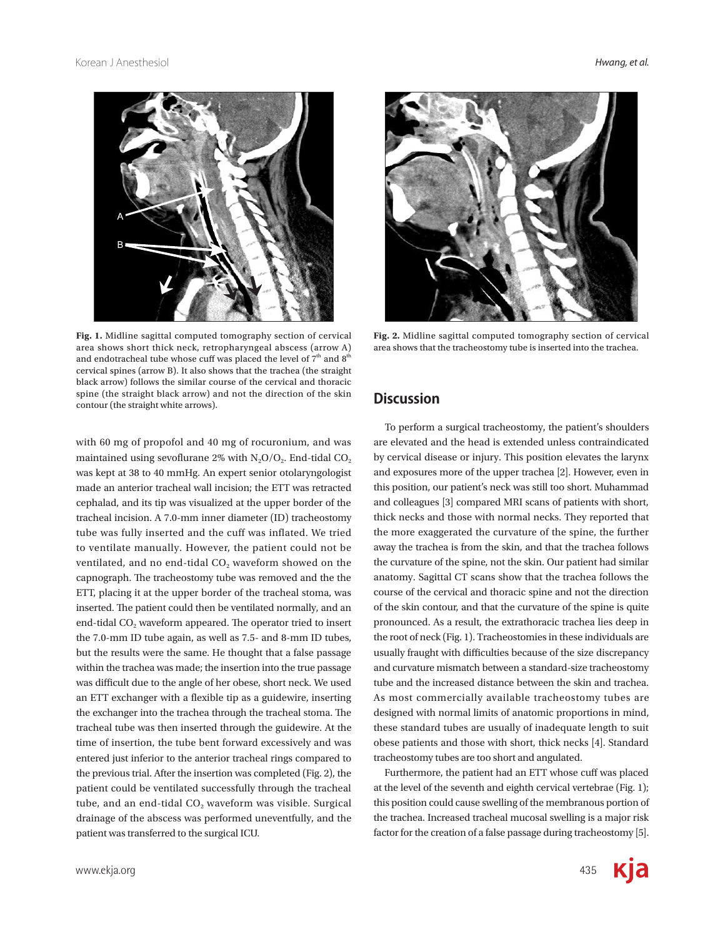



**Discussion Fig. 2.** Midline sagittal computed tomography section of cervical area shows that the tracheostomy tube is inserted into the trachea. **Fig. 1.** Midline sagittal computed tomography section of cervical area shows short thick neck, retropharyngeal abscess (arrow A) and endotracheal tube whose cuff was placed the level of  $7<sup>th</sup>$  and  $8<sup>th</sup>$ cervical spines (arrow B). It also shows that the trachea (the straight black arrow) follows the similar course of the cervical and thoracic spine (the straight black arrow) and not the direction of the skin contour (the straight white arrows).

with 60 mg of propofol and 40 mg of rocuronium, and was maintained using sevoflurane 2% with  $N_2O/O_2$ . End-tidal  $CO_2$ was kept at 38 to 40 mmHg. An expert senior otolaryngologist made an anterior tracheal wall incision; the ETT was retracted cephalad, and its tip was visualized at the upper border of the tracheal incision. A 7.0-mm inner diameter (ID) tracheostomy tube was fully inserted and the cuff was inflated. We tried to ventilate manually. However, the patient could not be ventilated, and no end-tidal CO<sub>2</sub> waveform showed on the capnograph. The tracheostomy tube was removed and the the ETT, placing it at the upper border of the tracheal stoma, was inserted. The patient could then be ventilated normally, and an end-tidal CO<sub>2</sub> waveform appeared. The operator tried to insert the 7.0-mm ID tube again, as well as 7.5- and 8-mm ID tubes, but the results were the same. He thought that a false passage within the trachea was made; the insertion into the true passage was difficult due to the angle of her obese, short neck. We used an ETT exchanger with a flexible tip as a guidewire, inserting the exchanger into the trachea through the tracheal stoma. The tracheal tube was then inserted through the guidewire. At the time of insertion, the tube bent forward excessively and was entered just inferior to the anterior tracheal rings compared to the previous trial. After the insertion was completed (Fig. 2), the patient could be ventilated successfully through the tracheal tube, and an end-tidal  $CO<sub>2</sub>$  waveform was visible. Surgical drainage of the abscess was performed uneventfully, and the patient was transferred to the surgical ICU.

 To perform a surgical tracheostomy, the patient's shoulders are elevated and the head is extended unless contraindicated by cervical disease or injury. This position elevates the larynx and exposures more of the upper trachea [2]. However, even in this position, our patient's neck was still too short. Muhammad and colleagues [3] compared MRI scans of patients with short, thick necks and those with normal necks. They reported that the more exaggerated the curvature of the spine, the further away the trachea is from the skin, and that the trachea follows the curvature of the spine, not the skin. Our patient had similar anatomy. Sagittal CT scans show that the trachea follows the course of the cervical and thoracic spine and not the direction of the skin contour, and that the curvature of the spine is quite pronounced. As a result, the extrathoracic trachea lies deep in the root of neck (Fig. 1). Tracheostomies in these individuals are usually fraught with difficulties because of the size discrepancy and curvature mismatch between a standard-size tracheostomy tube and the increased distance between the skin and trachea. As most commercially available tracheostomy tubes are designed with normal limits of anatomic proportions in mind, these standard tubes are usually of inadequate length to suit obese patients and those with short, thick necks [4]. Standard tracheostomy tubes are too short and angulated.

 Furthermore, the patient had an ETT whose cuff was placed at the level of the seventh and eighth cervical vertebrae (Fig. 1); this position could cause swelling of the membranous portion of the trachea. Increased tracheal mucosal swelling is a major risk factor for the creation of a false passage during tracheostomy [5].